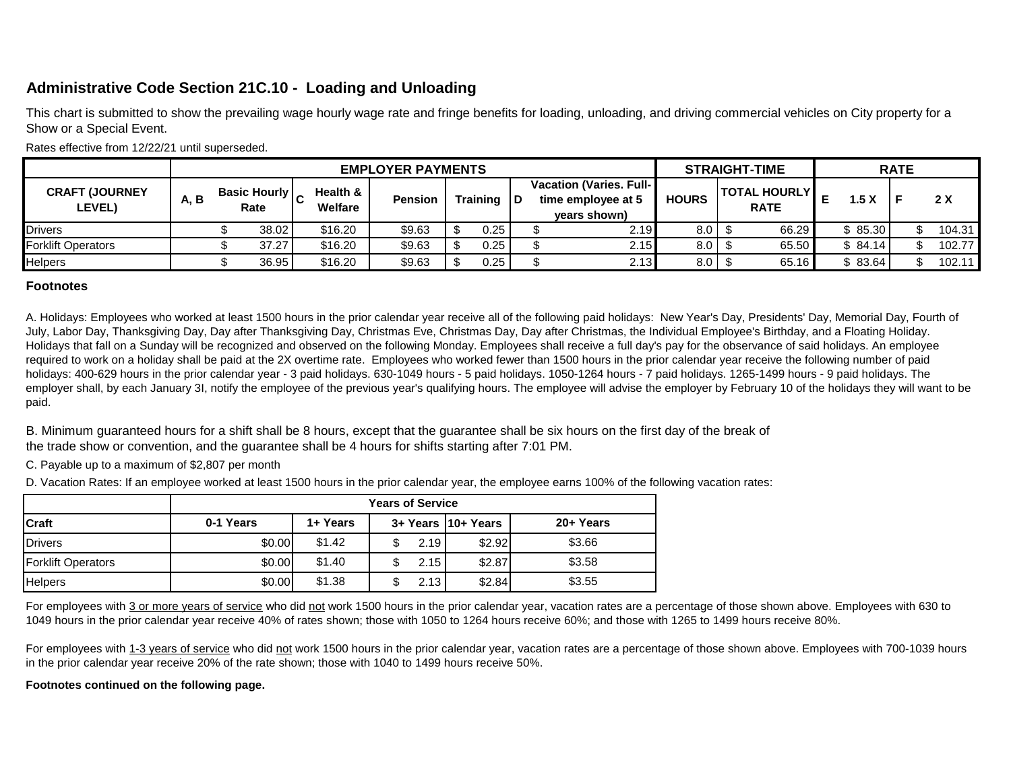## **Administrative Code Section 21C.10 - Loading and Unloading**

This chart is submitted to show the prevailing wage hourly wage rate and fringe benefits for loading, unloading, and driving commercial vehicles on City property for a Show or a Special Event.

| Rates ellective from $Z/ZZ/Z$ i until supersequed. |      |                          |                             |                                |                |  |              |  |                                                                        |              |  |                                    |  |         |  |        |
|----------------------------------------------------|------|--------------------------|-----------------------------|--------------------------------|----------------|--|--------------|--|------------------------------------------------------------------------|--------------|--|------------------------------------|--|---------|--|--------|
|                                                    |      | <b>EMPLOYER PAYMENTS</b> |                             |                                |                |  |              |  | <b>STRAIGHT-TIME</b>                                                   |              |  | <b>RATE</b>                        |  |         |  |        |
| <b>CRAFT (JOURNEY</b><br><b>LEVEL)</b>             | A, B |                          | <b>Basic Hourly</b><br>Rate | <b>Health &amp;</b><br>Welfare | <b>Pension</b> |  | Training   D |  | <b>Vacation (Varies. Full-1)</b><br>time employee at 5<br>vears shown) | <b>HOURS</b> |  | <b>TOTAL HOURLY</b><br><b>RATE</b> |  | 1.5 X   |  | 2X     |
| <b>Drivers</b>                                     |      |                          | 38.02                       | \$16.20                        | \$9.63         |  | 0.25         |  | 2.19                                                                   | 8.0          |  | 66.29                              |  | 85.30   |  | 104.31 |
| <b>Forklift Operators</b>                          |      |                          | 37.27                       | \$16.20                        | \$9.63         |  | 0.25         |  | 2.15                                                                   | 8.0          |  | 65.50                              |  | \$84.14 |  | 102.77 |
| Helpers                                            |      |                          | 36.95                       | \$16.20                        | \$9.63         |  | 0.25         |  | 2.13                                                                   | 8.0          |  | 65.16                              |  | 83.64   |  | 102.11 |

Rates effective from 12/22/21 until superseded.

## **Footnotes**

A. Holidays: Employees who worked at least 1500 hours in the prior calendar year receive all of the following paid holidays: New Year's Day, Presidents' Day, Memorial Day, Fourth of July, Labor Day, Thanksgiving Day, Day after Thanksgiving Day, Christmas Eve, Christmas Day, Day after Christmas, the Individual Employee's Birthday, and a Floating Holiday. Holidays that fall on a Sunday will be recognized and observed on the following Monday. Employees shall receive a full day's pay for the observance of said holidays. An employee required to work on a holiday shall be paid at the 2X overtime rate. Employees who worked fewer than 1500 hours in the prior calendar year receive the following number of paid holidays: 400-629 hours in the prior calendar year - 3 paid holidays. 630-1049 hours - 5 paid holidays. 1050-1264 hours - 7 paid holidays. 1265-1499 hours - 9 paid holidays. The employer shall, by each January 3I, notify the employee of the previous year's qualifying hours. The employee will advise the employer by February 10 of the holidays they will want to be paid.

B. Minimum guaranteed hours for a shift shall be 8 hours, except that the guarantee shall be six hours on the first day of the break of the trade show or convention, and the guarantee shall be 4 hours for shifts starting after 7:01 PM.

C. Payable up to a maximum of \$2,807 per month

D. Vacation Rates: If an employee worked at least 1500 hours in the prior calendar year, the employee earns 100% of the following vacation rates:

|                           | <b>Years of Service</b> |          |      |                     |           |  |  |  |  |  |  |  |
|---------------------------|-------------------------|----------|------|---------------------|-----------|--|--|--|--|--|--|--|
| <b>Craft</b>              | 0-1 Years               | 1+ Years |      | 3+ Years 110+ Years | 20+ Years |  |  |  |  |  |  |  |
| Drivers                   | \$0.00                  | \$1.42   | 2.19 | \$2.92              | \$3.66    |  |  |  |  |  |  |  |
| <b>Forklift Operators</b> | \$0.00                  | \$1.40   | 2.15 | \$2.87              | \$3.58    |  |  |  |  |  |  |  |
| <b>Helpers</b>            | \$0.00                  | \$1.38   | 2.13 | \$2.84              | \$3.55    |  |  |  |  |  |  |  |

For employees with 3 or more years of service who did not work 1500 hours in the prior calendar year, vacation rates are a percentage of those shown above. Employees with 630 to 1049 hours in the prior calendar year receive 40% of rates shown; those with 1050 to 1264 hours receive 60%; and those with 1265 to 1499 hours receive 80%.

For employees with 1-3 years of service who did not work 1500 hours in the prior calendar year, vacation rates are a percentage of those shown above. Employees with 700-1039 hours in the prior calendar year receive 20% of the rate shown; those with 1040 to 1499 hours receive 50%.

**Footnotes continued on the following page.**